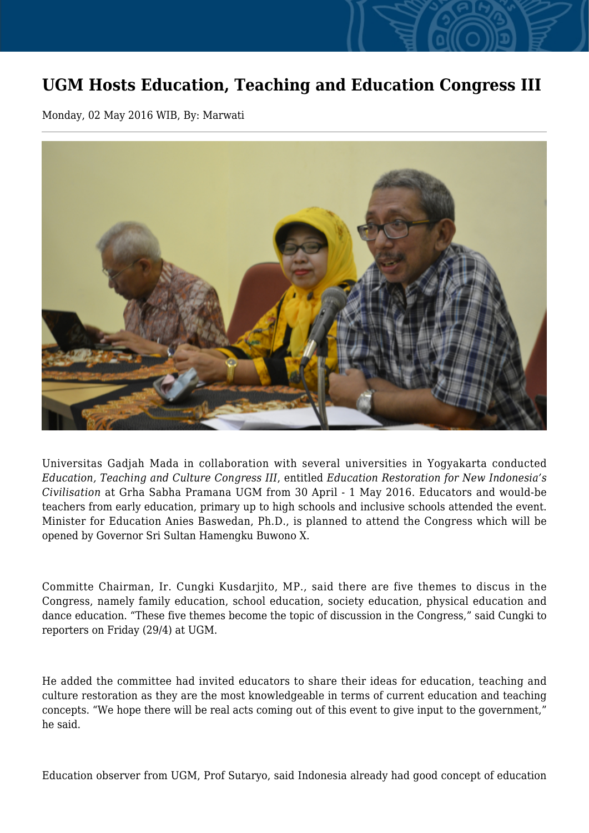## **UGM Hosts Education, Teaching and Education Congress III**

Monday, 02 May 2016 WIB, By: Marwati



Universitas Gadjah Mada in collaboration with several universities in Yogyakarta conducted *Education, Teaching and Culture Congress III*, entitled *Education Restoration for New Indonesia's Civilisation* at Grha Sabha Pramana UGM from 30 April - 1 May 2016. Educators and would-be teachers from early education, primary up to high schools and inclusive schools attended the event. Minister for Education Anies Baswedan, Ph.D., is planned to attend the Congress which will be opened by Governor Sri Sultan Hamengku Buwono X.

Committe Chairman, Ir. Cungki Kusdarjito, MP., said there are five themes to discus in the Congress, namely family education, school education, society education, physical education and dance education. "These five themes become the topic of discussion in the Congress," said Cungki to reporters on Friday (29/4) at UGM.

He added the committee had invited educators to share their ideas for education, teaching and culture restoration as they are the most knowledgeable in terms of current education and teaching concepts. "We hope there will be real acts coming out of this event to give input to the government," he said.

Education observer from UGM, Prof Sutaryo, said Indonesia already had good concept of education